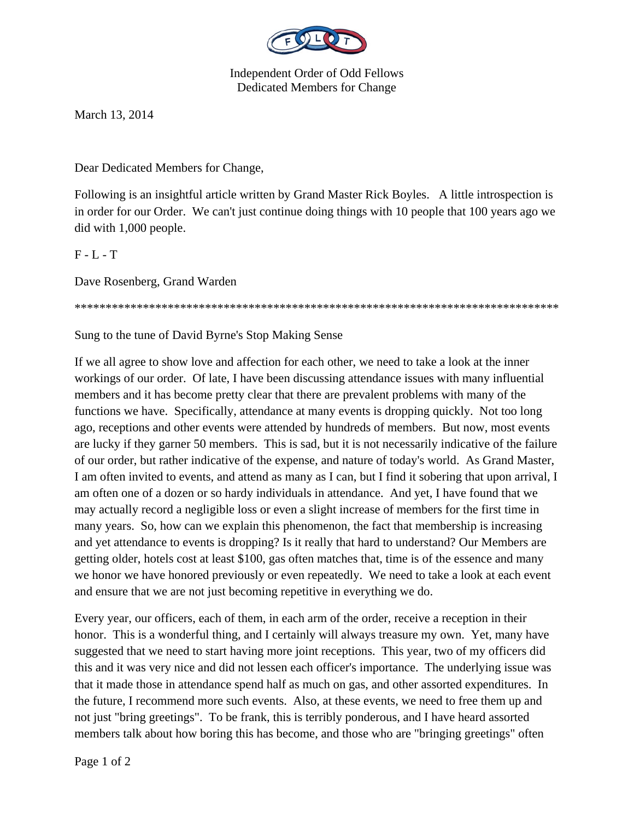

Independent Order of Odd Fellows Dedicated Members for Change

March 13, 2014

Dear Dedicated Members for Change,

Following is an insightful article written by Grand Master Rick Boyles. A little introspection is in order for our Order. We can't just continue doing things with 10 people that 100 years ago we did with 1,000 people.

 $F - L - T$ 

Dave Rosenberg, Grand Warden

\*\*\*\*\*\*\*\*\*\*\*\*\*\*\*\*\*\*\*\*\*\*\*\*\*\*\*\*\*\*\*\*\*\*\*\*\*\*\*\*\*\*\*\*\*\*\*\*\*\*\*\*\*\*\*\*\*\*\*\*\*\*\*\*\*\*\*\*\*\*\*\*\*\*\*\*\*\*

Sung to the tune of David Byrne's Stop Making Sense

If we all agree to show love and affection for each other, we need to take a look at the inner workings of our order. Of late, I have been discussing attendance issues with many influential members and it has become pretty clear that there are prevalent problems with many of the functions we have. Specifically, attendance at many events is dropping quickly. Not too long ago, receptions and other events were attended by hundreds of members. But now, most events are lucky if they garner 50 members. This is sad, but it is not necessarily indicative of the failure of our order, but rather indicative of the expense, and nature of today's world. As Grand Master, I am often invited to events, and attend as many as I can, but I find it sobering that upon arrival, I am often one of a dozen or so hardy individuals in attendance. And yet, I have found that we may actually record a negligible loss or even a slight increase of members for the first time in many years. So, how can we explain this phenomenon, the fact that membership is increasing and yet attendance to events is dropping? Is it really that hard to understand? Our Members are getting older, hotels cost at least \$100, gas often matches that, time is of the essence and many we honor we have honored previously or even repeatedly. We need to take a look at each event and ensure that we are not just becoming repetitive in everything we do.

Every year, our officers, each of them, in each arm of the order, receive a reception in their honor. This is a wonderful thing, and I certainly will always treasure my own. Yet, many have suggested that we need to start having more joint receptions. This year, two of my officers did this and it was very nice and did not lessen each officer's importance. The underlying issue was that it made those in attendance spend half as much on gas, and other assorted expenditures. In the future, I recommend more such events. Also, at these events, we need to free them up and not just "bring greetings". To be frank, this is terribly ponderous, and I have heard assorted members talk about how boring this has become, and those who are "bringing greetings" often